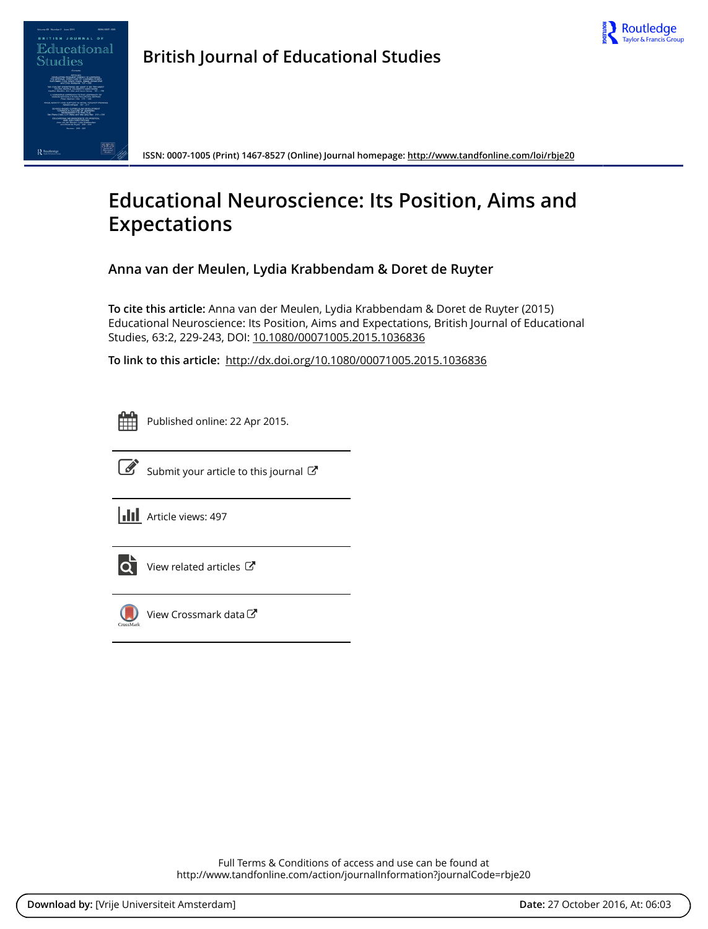



**British Journal of Educational Studies**

**ISSN: 0007-1005 (Print) 1467-8527 (Online) Journal homepage:<http://www.tandfonline.com/loi/rbje20>**

# **Educational Neuroscience: Its Position, Aims and Expectations**

**Anna van der Meulen, Lydia Krabbendam & Doret de Ruyter**

**To cite this article:** Anna van der Meulen, Lydia Krabbendam & Doret de Ruyter (2015) Educational Neuroscience: Its Position, Aims and Expectations, British Journal of Educational Studies, 63:2, 229-243, DOI: [10.1080/00071005.2015.1036836](http://www.tandfonline.com/action/showCitFormats?doi=10.1080/00071005.2015.1036836)

**To link to this article:** <http://dx.doi.org/10.1080/00071005.2015.1036836>

| - | _ | -<br><b>Service Service</b> |
|---|---|-----------------------------|
|   |   |                             |
|   |   |                             |
|   |   |                             |

Published online: 22 Apr 2015.



 $\overline{\mathscr{L}}$  [Submit your article to this journal](http://www.tandfonline.com/action/authorSubmission?journalCode=rbje20&show=instructions)  $\mathbb{Z}$ 

**III** Article views: 497



 $\overrightarrow{Q}$  [View related articles](http://www.tandfonline.com/doi/mlt/10.1080/00071005.2015.1036836)  $\overrightarrow{C}$ 



[View Crossmark data](http://crossmark.crossref.org/dialog/?doi=10.1080/00071005.2015.1036836&domain=pdf&date_stamp=2015-04-22)<sup>で</sup>

Full Terms & Conditions of access and use can be found at <http://www.tandfonline.com/action/journalInformation?journalCode=rbje20>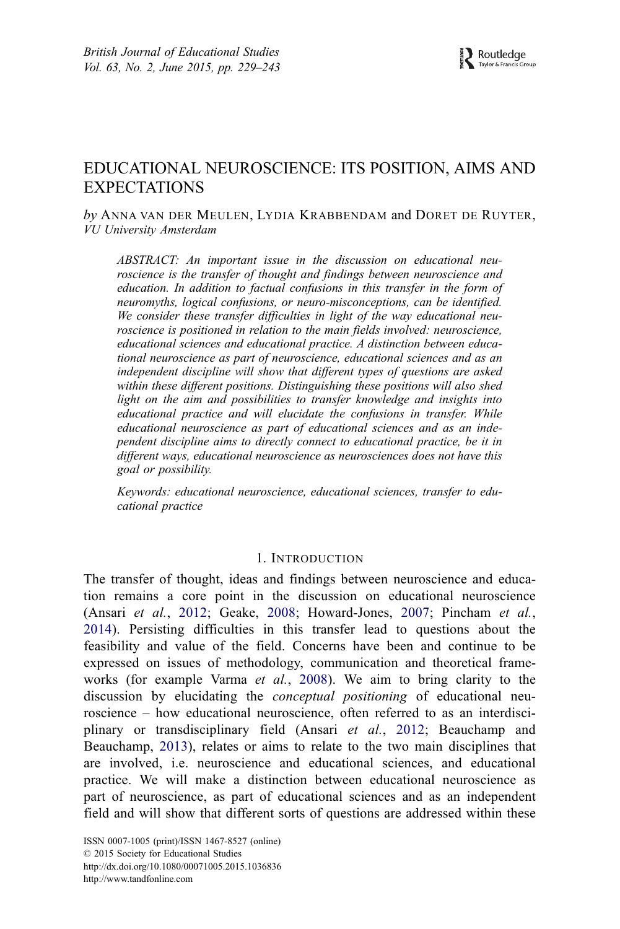## EDUCATIONAL NEUROSCIENCE: ITS POSITION, AIMS AND EXPECTATIONS

by ANNA VAN DER MEULEN, LYDIA KRABBENDAM and DORET DE RUYTER, VU University Amsterdam

ABSTRACT: An important issue in the discussion on educational neuroscience is the transfer of thought and findings between neuroscience and education. In addition to factual confusions in this transfer in the form of neuromyths, logical confusions, or neuro-misconceptions, can be identified. We consider these transfer difficulties in light of the way educational neuroscience is positioned in relation to the main fields involved: neuroscience, educational sciences and educational practice. A distinction between educational neuroscience as part of neuroscience, educational sciences and as an independent discipline will show that different types of questions are asked within these different positions. Distinguishing these positions will also shed light on the aim and possibilities to transfer knowledge and insights into educational practice and will elucidate the confusions in transfer. While educational neuroscience as part of educational sciences and as an independent discipline aims to directly connect to educational practice, be it in different ways, educational neuroscience as neurosciences does not have this goal or possibility.

Keywords: educational neuroscience, educational sciences, transfer to educational practice

#### 1. INTRODUCTION

The transfer of thought, ideas and findings between neuroscience and education remains a core point in the discussion on educational neuroscience (Ansari et al., [2012;](#page-13-0) Geake, [2008](#page-14-0); Howard-Jones, [2007;](#page-14-0) Pincham et al., [2014](#page-14-0)). Persisting difficulties in this transfer lead to questions about the feasibility and value of the field. Concerns have been and continue to be expressed on issues of methodology, communication and theoretical frameworks (for example Varma et al., [2008\)](#page-15-0). We aim to bring clarity to the discussion by elucidating the conceptual positioning of educational neuroscience – how educational neuroscience, often referred to as an interdisci-plinary or transdisciplinary field (Ansari et al., [2012](#page-13-0); Beauchamp and Beauchamp, [2013](#page-13-0)), relates or aims to relate to the two main disciplines that are involved, i.e. neuroscience and educational sciences, and educational practice. We will make a distinction between educational neuroscience as part of neuroscience, as part of educational sciences and as an independent field and will show that different sorts of questions are addressed within these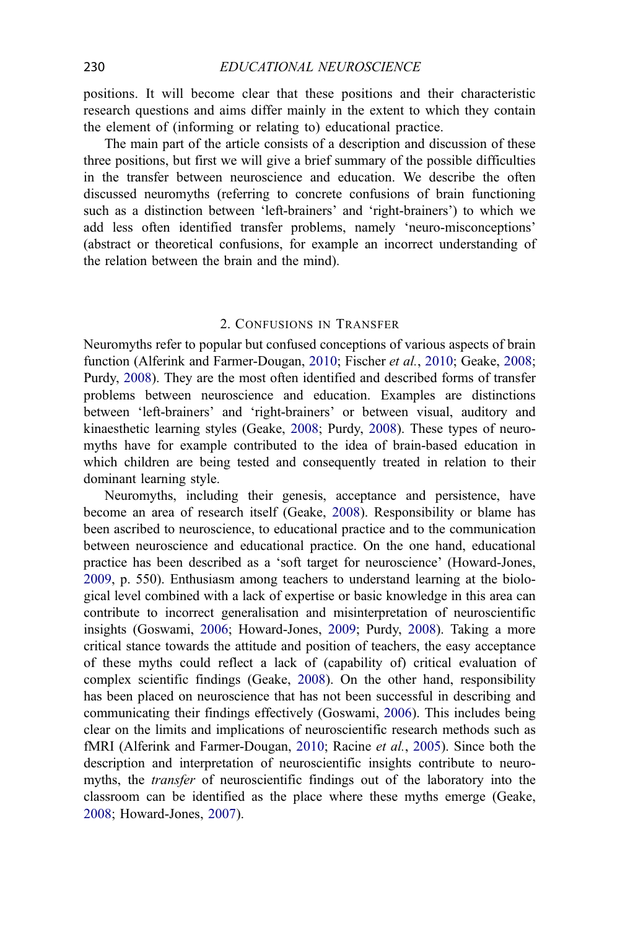positions. It will become clear that these positions and their characteristic research questions and aims differ mainly in the extent to which they contain the element of (informing or relating to) educational practice.

The main part of the article consists of a description and discussion of these three positions, but first we will give a brief summary of the possible difficulties in the transfer between neuroscience and education. We describe the often discussed neuromyths (referring to concrete confusions of brain functioning such as a distinction between 'left-brainers' and 'right-brainers') to which we add less often identified transfer problems, namely 'neuro-misconceptions' (abstract or theoretical confusions, for example an incorrect understanding of the relation between the brain and the mind).

#### 2. CONFUSIONS IN TRANSFER

Neuromyths refer to popular but confused conceptions of various aspects of brain function (Alferink and Farmer-Dougan, [2010;](#page-13-0) Fischer et al., [2010;](#page-14-0) Geake, [2008;](#page-14-0) Purdy, [2008](#page-14-0)). They are the most often identified and described forms of transfer problems between neuroscience and education. Examples are distinctions between 'left-brainers' and 'right-brainers' or between visual, auditory and kinaesthetic learning styles (Geake, [2008;](#page-14-0) Purdy, [2008](#page-14-0)). These types of neuromyths have for example contributed to the idea of brain-based education in which children are being tested and consequently treated in relation to their dominant learning style.

Neuromyths, including their genesis, acceptance and persistence, have become an area of research itself (Geake, [2008](#page-14-0)). Responsibility or blame has been ascribed to neuroscience, to educational practice and to the communication between neuroscience and educational practice. On the one hand, educational practice has been described as a 'soft target for neuroscience' (Howard-Jones, [2009,](#page-14-0) p. 550). Enthusiasm among teachers to understand learning at the biological level combined with a lack of expertise or basic knowledge in this area can contribute to incorrect generalisation and misinterpretation of neuroscientific insights (Goswami, [2006;](#page-14-0) Howard-Jones, [2009](#page-14-0); Purdy, [2008](#page-14-0)). Taking a more critical stance towards the attitude and position of teachers, the easy acceptance of these myths could reflect a lack of (capability of) critical evaluation of complex scientific findings (Geake, [2008](#page-14-0)). On the other hand, responsibility has been placed on neuroscience that has not been successful in describing and communicating their findings effectively (Goswami, [2006](#page-14-0)). This includes being clear on the limits and implications of neuroscientific research methods such as fMRI (Alferink and Farmer-Dougan, [2010;](#page-13-0) Racine et al., [2005\)](#page-14-0). Since both the description and interpretation of neuroscientific insights contribute to neuromyths, the transfer of neuroscientific findings out of the laboratory into the classroom can be identified as the place where these myths emerge (Geake, [2008;](#page-14-0) Howard-Jones, [2007\)](#page-14-0).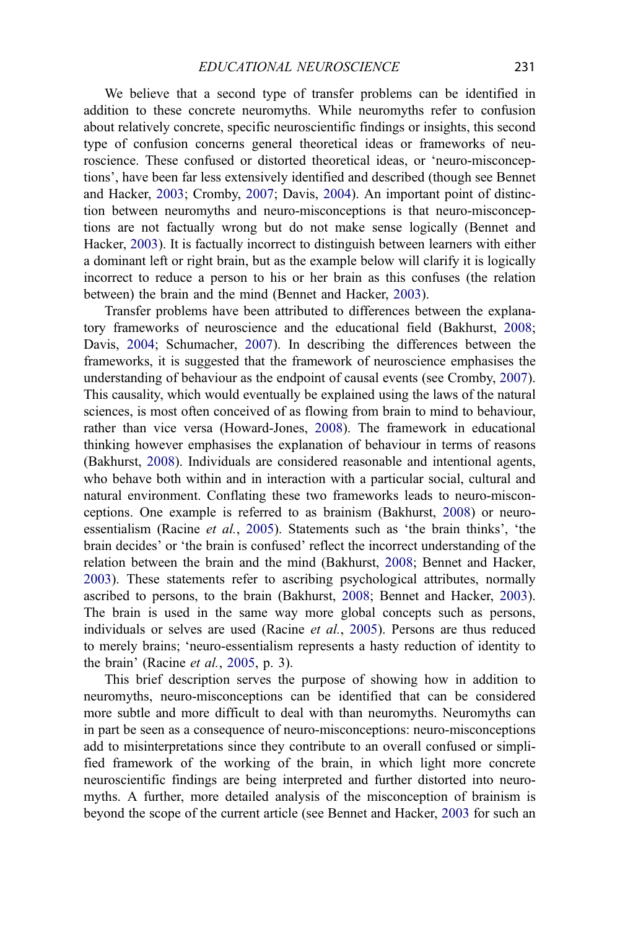We believe that a second type of transfer problems can be identified in addition to these concrete neuromyths. While neuromyths refer to confusion about relatively concrete, specific neuroscientific findings or insights, this second type of confusion concerns general theoretical ideas or frameworks of neuroscience. These confused or distorted theoretical ideas, or 'neuro-misconceptions', have been far less extensively identified and described (though see Bennet and Hacker, [2003;](#page-13-0) Cromby, [2007;](#page-14-0) Davis, [2004\)](#page-14-0). An important point of distinction between neuromyths and neuro-misconceptions is that neuro-misconceptions are not factually wrong but do not make sense logically (Bennet and Hacker, [2003\)](#page-13-0). It is factually incorrect to distinguish between learners with either a dominant left or right brain, but as the example below will clarify it is logically incorrect to reduce a person to his or her brain as this confuses (the relation between) the brain and the mind (Bennet and Hacker, [2003\)](#page-13-0).

Transfer problems have been attributed to differences between the explanatory frameworks of neuroscience and the educational field (Bakhurst, [2008;](#page-13-0) Davis, [2004;](#page-14-0) Schumacher, [2007\)](#page-14-0). In describing the differences between the frameworks, it is suggested that the framework of neuroscience emphasises the understanding of behaviour as the endpoint of causal events (see Cromby, [2007\)](#page-14-0). This causality, which would eventually be explained using the laws of the natural sciences, is most often conceived of as flowing from brain to mind to behaviour, rather than vice versa (Howard-Jones, [2008\)](#page-14-0). The framework in educational thinking however emphasises the explanation of behaviour in terms of reasons (Bakhurst, [2008\)](#page-13-0). Individuals are considered reasonable and intentional agents, who behave both within and in interaction with a particular social, cultural and natural environment. Conflating these two frameworks leads to neuro-misconceptions. One example is referred to as brainism (Bakhurst, [2008](#page-13-0)) or neuroessentialism (Racine et al., [2005\)](#page-14-0). Statements such as 'the brain thinks', 'the brain decides' or 'the brain is confused' reflect the incorrect understanding of the relation between the brain and the mind (Bakhurst, [2008;](#page-13-0) Bennet and Hacker, [2003\)](#page-13-0). These statements refer to ascribing psychological attributes, normally ascribed to persons, to the brain (Bakhurst, [2008](#page-13-0); Bennet and Hacker, [2003\)](#page-13-0). The brain is used in the same way more global concepts such as persons, individuals or selves are used (Racine et al., [2005\)](#page-14-0). Persons are thus reduced to merely brains; 'neuro-essentialism represents a hasty reduction of identity to the brain' (Racine et al., [2005](#page-14-0), p. 3).

This brief description serves the purpose of showing how in addition to neuromyths, neuro-misconceptions can be identified that can be considered more subtle and more difficult to deal with than neuromyths. Neuromyths can in part be seen as a consequence of neuro-misconceptions: neuro-misconceptions add to misinterpretations since they contribute to an overall confused or simplified framework of the working of the brain, in which light more concrete neuroscientific findings are being interpreted and further distorted into neuromyths. A further, more detailed analysis of the misconception of brainism is beyond the scope of the current article (see Bennet and Hacker, [2003](#page-13-0) for such an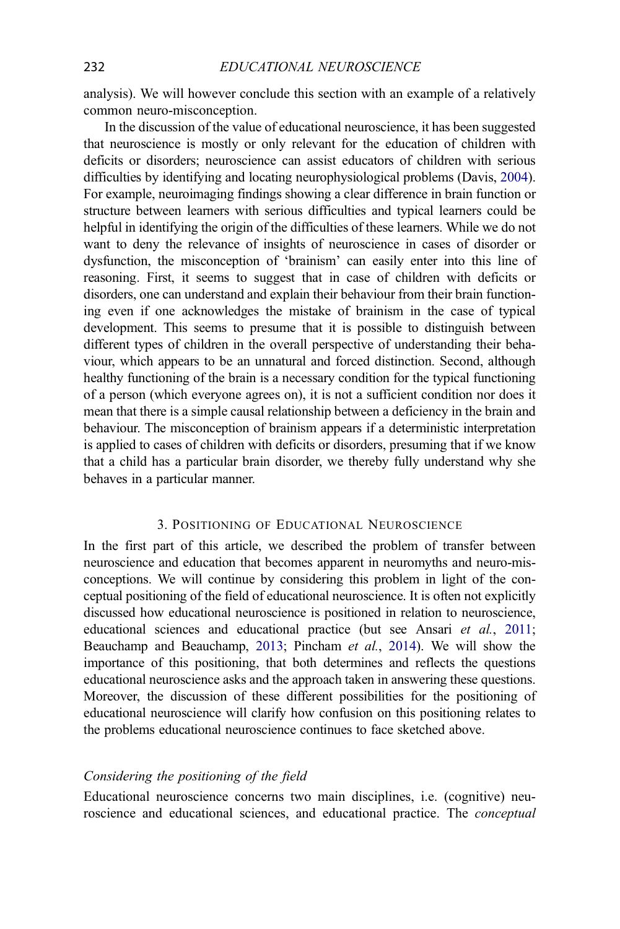analysis). We will however conclude this section with an example of a relatively common neuro-misconception.

In the discussion of the value of educational neuroscience, it has been suggested that neuroscience is mostly or only relevant for the education of children with deficits or disorders; neuroscience can assist educators of children with serious difficulties by identifying and locating neurophysiological problems (Davis, [2004\)](#page-14-0). For example, neuroimaging findings showing a clear difference in brain function or structure between learners with serious difficulties and typical learners could be helpful in identifying the origin of the difficulties of these learners. While we do not want to deny the relevance of insights of neuroscience in cases of disorder or dysfunction, the misconception of 'brainism' can easily enter into this line of reasoning. First, it seems to suggest that in case of children with deficits or disorders, one can understand and explain their behaviour from their brain functioning even if one acknowledges the mistake of brainism in the case of typical development. This seems to presume that it is possible to distinguish between different types of children in the overall perspective of understanding their behaviour, which appears to be an unnatural and forced distinction. Second, although healthy functioning of the brain is a necessary condition for the typical functioning of a person (which everyone agrees on), it is not a sufficient condition nor does it mean that there is a simple causal relationship between a deficiency in the brain and behaviour. The misconception of brainism appears if a deterministic interpretation is applied to cases of children with deficits or disorders, presuming that if we know that a child has a particular brain disorder, we thereby fully understand why she behaves in a particular manner.

## 3. POSITIONING OF EDUCATIONAL NEUROSCIENCE

In the first part of this article, we described the problem of transfer between neuroscience and education that becomes apparent in neuromyths and neuro-misconceptions. We will continue by considering this problem in light of the conceptual positioning of the field of educational neuroscience. It is often not explicitly discussed how educational neuroscience is positioned in relation to neuroscience, educational sciences and educational practice (but see Ansari et al., [2011;](#page-13-0) Beauchamp and Beauchamp, [2013](#page-13-0); Pincham et al., [2014](#page-14-0)). We will show the importance of this positioning, that both determines and reflects the questions educational neuroscience asks and the approach taken in answering these questions. Moreover, the discussion of these different possibilities for the positioning of educational neuroscience will clarify how confusion on this positioning relates to the problems educational neuroscience continues to face sketched above.

#### Considering the positioning of the field

Educational neuroscience concerns two main disciplines, i.e. (cognitive) neuroscience and educational sciences, and educational practice. The conceptual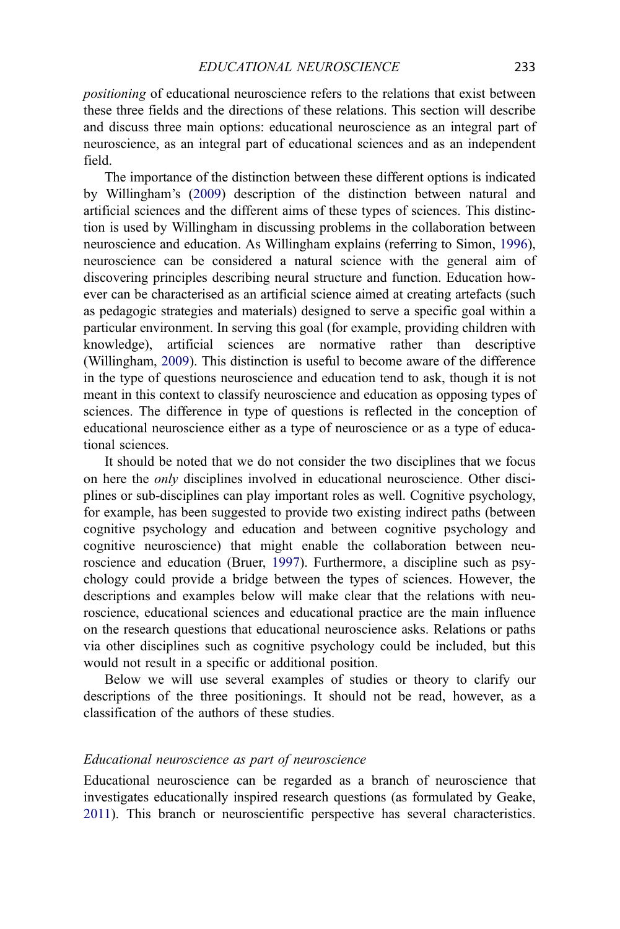positioning of educational neuroscience refers to the relations that exist between these three fields and the directions of these relations. This section will describe and discuss three main options: educational neuroscience as an integral part of neuroscience, as an integral part of educational sciences and as an independent field.

The importance of the distinction between these different options is indicated by Willingham's ([2009\)](#page-15-0) description of the distinction between natural and artificial sciences and the different aims of these types of sciences. This distinction is used by Willingham in discussing problems in the collaboration between neuroscience and education. As Willingham explains (referring to Simon, [1996\)](#page-14-0), neuroscience can be considered a natural science with the general aim of discovering principles describing neural structure and function. Education however can be characterised as an artificial science aimed at creating artefacts (such as pedagogic strategies and materials) designed to serve a specific goal within a particular environment. In serving this goal (for example, providing children with knowledge), artificial sciences are normative rather than descriptive (Willingham, [2009](#page-15-0)). This distinction is useful to become aware of the difference in the type of questions neuroscience and education tend to ask, though it is not meant in this context to classify neuroscience and education as opposing types of sciences. The difference in type of questions is reflected in the conception of educational neuroscience either as a type of neuroscience or as a type of educational sciences.

It should be noted that we do not consider the two disciplines that we focus on here the only disciplines involved in educational neuroscience. Other disciplines or sub-disciplines can play important roles as well. Cognitive psychology, for example, has been suggested to provide two existing indirect paths (between cognitive psychology and education and between cognitive psychology and cognitive neuroscience) that might enable the collaboration between neuroscience and education (Bruer, [1997](#page-13-0)). Furthermore, a discipline such as psychology could provide a bridge between the types of sciences. However, the descriptions and examples below will make clear that the relations with neuroscience, educational sciences and educational practice are the main influence on the research questions that educational neuroscience asks. Relations or paths via other disciplines such as cognitive psychology could be included, but this would not result in a specific or additional position.

Below we will use several examples of studies or theory to clarify our descriptions of the three positionings. It should not be read, however, as a classification of the authors of these studies.

## Educational neuroscience as part of neuroscience

Educational neuroscience can be regarded as a branch of neuroscience that investigates educationally inspired research questions (as formulated by Geake, [2011](#page-14-0)). This branch or neuroscientific perspective has several characteristics.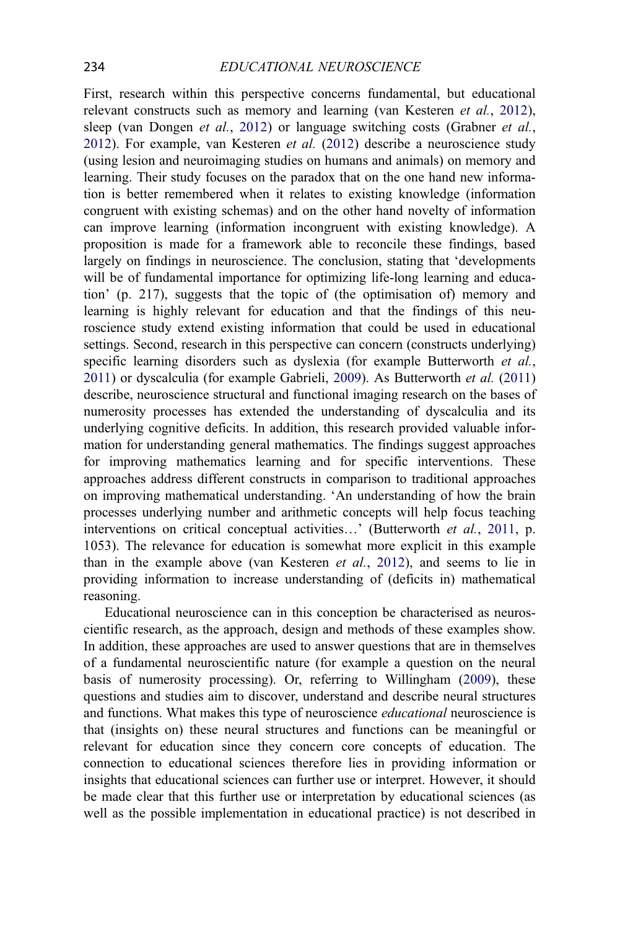First, research within this perspective concerns fundamental, but educational relevant constructs such as memory and learning (van Kesteren et al., [2012\)](#page-15-0), sleep (van Dongen *et al.*, [2012\)](#page-15-0) or language switching costs (Grabner *et al.*, [2012\)](#page-15-0). For example, van Kesteren et al.  $(2012)$  describe a neuroscience study (using lesion and neuroimaging studies on humans and animals) on memory and learning. Their study focuses on the paradox that on the one hand new information is better remembered when it relates to existing knowledge (information congruent with existing schemas) and on the other hand novelty of information can improve learning (information incongruent with existing knowledge). A proposition is made for a framework able to reconcile these findings, based largely on findings in neuroscience. The conclusion, stating that 'developments will be of fundamental importance for optimizing life-long learning and education' (p. 217), suggests that the topic of (the optimisation of) memory and learning is highly relevant for education and that the findings of this neuroscience study extend existing information that could be used in educational settings. Second, research in this perspective can concern (constructs underlying) specific learning disorders such as dyslexia (for example Butterworth et al., [2011](#page-13-0)) or dyscalculia (for example Gabrieli, [2009](#page-14-0)). As Butterworth et al. ([2011](#page-13-0)) describe, neuroscience structural and functional imaging research on the bases of numerosity processes has extended the understanding of dyscalculia and its underlying cognitive deficits. In addition, this research provided valuable information for understanding general mathematics. The findings suggest approaches for improving mathematics learning and for specific interventions. These approaches address different constructs in comparison to traditional approaches on improving mathematical understanding. 'An understanding of how the brain processes underlying number and arithmetic concepts will help focus teaching interventions on critical conceptual activities...' (Butterworth *et al.*, [2011,](#page-13-0) p. 1053). The relevance for education is somewhat more explicit in this example than in the example above (van Kesteren et al., [2012](#page-15-0)), and seems to lie in providing information to increase understanding of (deficits in) mathematical reasoning.

Educational neuroscience can in this conception be characterised as neuroscientific research, as the approach, design and methods of these examples show. In addition, these approaches are used to answer questions that are in themselves of a fundamental neuroscientific nature (for example a question on the neural basis of numerosity processing). Or, referring to Willingham ([2009\)](#page-15-0), these questions and studies aim to discover, understand and describe neural structures and functions. What makes this type of neuroscience educational neuroscience is that (insights on) these neural structures and functions can be meaningful or relevant for education since they concern core concepts of education. The connection to educational sciences therefore lies in providing information or insights that educational sciences can further use or interpret. However, it should be made clear that this further use or interpretation by educational sciences (as well as the possible implementation in educational practice) is not described in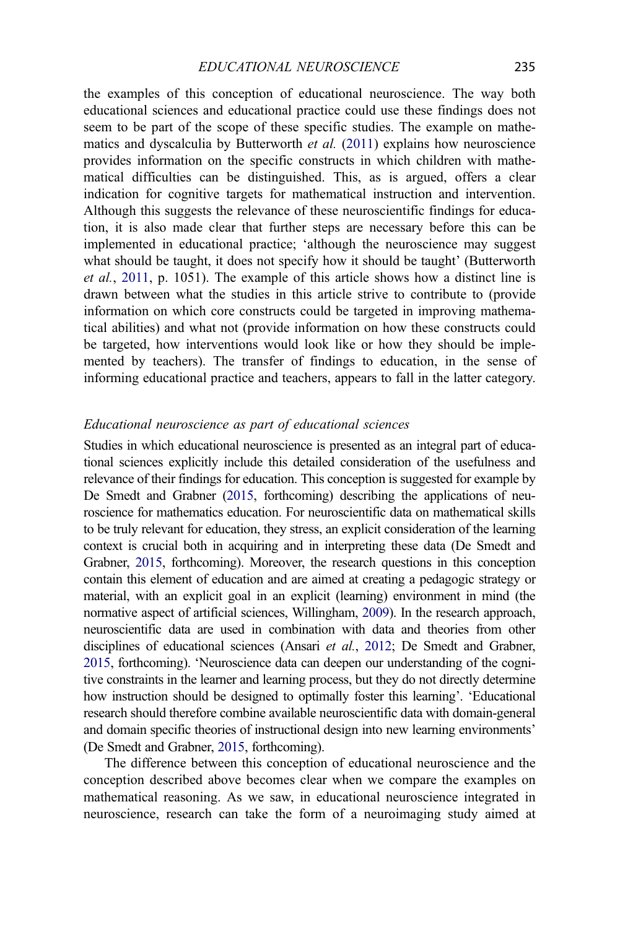the examples of this conception of educational neuroscience. The way both educational sciences and educational practice could use these findings does not seem to be part of the scope of these specific studies. The example on mathematics and dyscalculia by Butterworth et al. [\(2011\)](#page-13-0) explains how neuroscience provides information on the specific constructs in which children with mathematical difficulties can be distinguished. This, as is argued, offers a clear indication for cognitive targets for mathematical instruction and intervention. Although this suggests the relevance of these neuroscientific findings for education, it is also made clear that further steps are necessary before this can be implemented in educational practice; 'although the neuroscience may suggest what should be taught, it does not specify how it should be taught' (Butterworth et al., [2011](#page-13-0), p. 1051). The example of this article shows how a distinct line is drawn between what the studies in this article strive to contribute to (provide information on which core constructs could be targeted in improving mathematical abilities) and what not (provide information on how these constructs could be targeted, how interventions would look like or how they should be implemented by teachers). The transfer of findings to education, in the sense of informing educational practice and teachers, appears to fall in the latter category.

## Educational neuroscience as part of educational sciences

Studies in which educational neuroscience is presented as an integral part of educational sciences explicitly include this detailed consideration of the usefulness and relevance of their findings for education. This conception is suggested for example by De Smedt and Grabner [\(2015](#page-14-0), forthcoming) describing the applications of neuroscience for mathematics education. For neuroscientific data on mathematical skills to be truly relevant for education, they stress, an explicit consideration of the learning context is crucial both in acquiring and in interpreting these data (De Smedt and Grabner, [2015,](#page-14-0) forthcoming). Moreover, the research questions in this conception contain this element of education and are aimed at creating a pedagogic strategy or material, with an explicit goal in an explicit (learning) environment in mind (the normative aspect of artificial sciences, Willingham, [2009\)](#page-15-0). In the research approach, neuroscientific data are used in combination with data and theories from other disciplines of educational sciences (Ansari et al., [2012;](#page-13-0) De Smedt and Grabner, [2015,](#page-14-0) forthcoming). 'Neuroscience data can deepen our understanding of the cognitive constraints in the learner and learning process, but they do not directly determine how instruction should be designed to optimally foster this learning'. 'Educational research should therefore combine available neuroscientific data with domain-general and domain specific theories of instructional design into new learning environments' (De Smedt and Grabner, [2015,](#page-14-0) forthcoming).

The difference between this conception of educational neuroscience and the conception described above becomes clear when we compare the examples on mathematical reasoning. As we saw, in educational neuroscience integrated in neuroscience, research can take the form of a neuroimaging study aimed at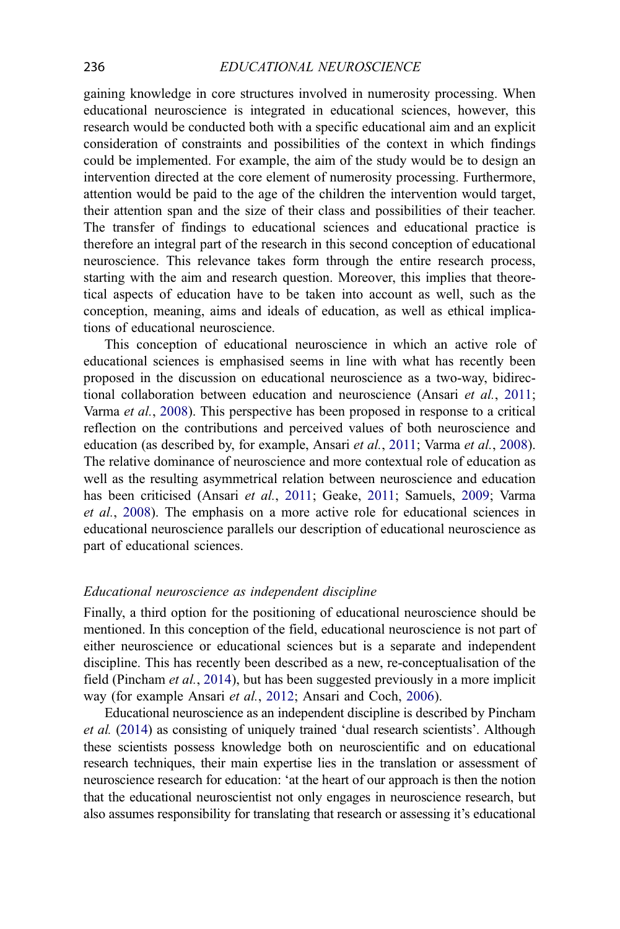#### 236 EDUCATIONAL NEUROSCIENCE

gaining knowledge in core structures involved in numerosity processing. When educational neuroscience is integrated in educational sciences, however, this research would be conducted both with a specific educational aim and an explicit consideration of constraints and possibilities of the context in which findings could be implemented. For example, the aim of the study would be to design an intervention directed at the core element of numerosity processing. Furthermore, attention would be paid to the age of the children the intervention would target, their attention span and the size of their class and possibilities of their teacher. The transfer of findings to educational sciences and educational practice is therefore an integral part of the research in this second conception of educational neuroscience. This relevance takes form through the entire research process, starting with the aim and research question. Moreover, this implies that theoretical aspects of education have to be taken into account as well, such as the conception, meaning, aims and ideals of education, as well as ethical implications of educational neuroscience.

This conception of educational neuroscience in which an active role of educational sciences is emphasised seems in line with what has recently been proposed in the discussion on educational neuroscience as a two-way, bidirectional collaboration between education and neuroscience (Ansari et al., [2011;](#page-13-0) Varma et al., [2008](#page-15-0)). This perspective has been proposed in response to a critical reflection on the contributions and perceived values of both neuroscience and education (as described by, for example, Ansari et al., [2011](#page-13-0); Varma et al., [2008\)](#page-15-0). The relative dominance of neuroscience and more contextual role of education as well as the resulting asymmetrical relation between neuroscience and education has been criticised (Ansari et al., [2011](#page-13-0); Geake, [2011](#page-14-0); Samuels, [2009;](#page-14-0) Varma et al., [2008\)](#page-15-0). The emphasis on a more active role for educational sciences in educational neuroscience parallels our description of educational neuroscience as part of educational sciences.

#### Educational neuroscience as independent discipline

Finally, a third option for the positioning of educational neuroscience should be mentioned. In this conception of the field, educational neuroscience is not part of either neuroscience or educational sciences but is a separate and independent discipline. This has recently been described as a new, re-conceptualisation of the field (Pincham et al., [2014](#page-14-0)), but has been suggested previously in a more implicit way (for example Ansari et al., [2012](#page-13-0); Ansari and Coch, [2006](#page-13-0)).

Educational neuroscience as an independent discipline is described by Pincham et al. [\(2014\)](#page-14-0) as consisting of uniquely trained 'dual research scientists'. Although these scientists possess knowledge both on neuroscientific and on educational research techniques, their main expertise lies in the translation or assessment of neuroscience research for education: 'at the heart of our approach is then the notion that the educational neuroscientist not only engages in neuroscience research, but also assumes responsibility for translating that research or assessing it's educational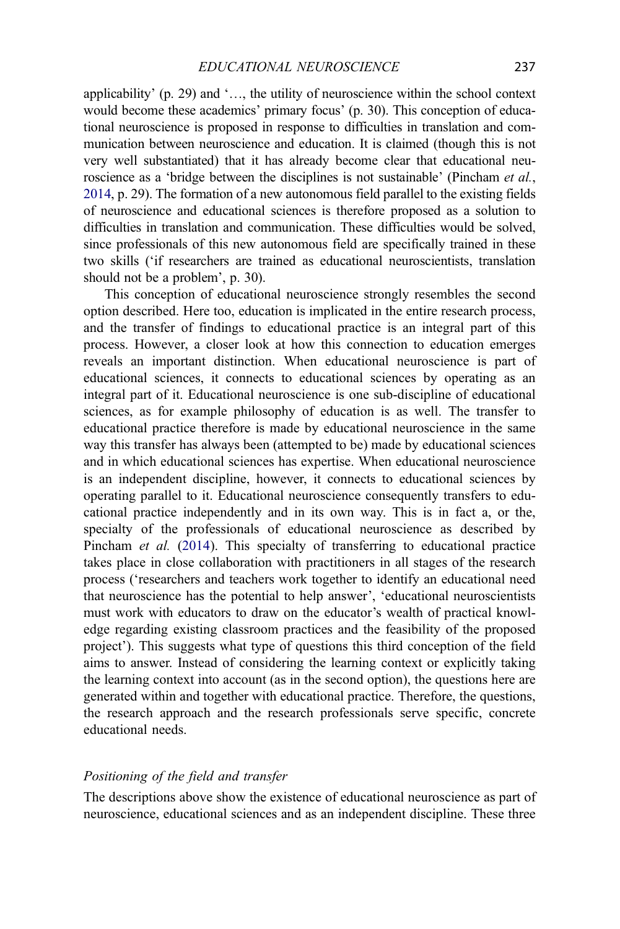applicability' (p. 29) and '…, the utility of neuroscience within the school context would become these academics' primary focus' (p. 30). This conception of educational neuroscience is proposed in response to difficulties in translation and communication between neuroscience and education. It is claimed (though this is not very well substantiated) that it has already become clear that educational neuroscience as a 'bridge between the disciplines is not sustainable' (Pincham et al., [2014](#page-14-0), p. 29). The formation of a new autonomous field parallel to the existing fields of neuroscience and educational sciences is therefore proposed as a solution to difficulties in translation and communication. These difficulties would be solved, since professionals of this new autonomous field are specifically trained in these two skills ('if researchers are trained as educational neuroscientists, translation should not be a problem', p. 30).

This conception of educational neuroscience strongly resembles the second option described. Here too, education is implicated in the entire research process, and the transfer of findings to educational practice is an integral part of this process. However, a closer look at how this connection to education emerges reveals an important distinction. When educational neuroscience is part of educational sciences, it connects to educational sciences by operating as an integral part of it. Educational neuroscience is one sub-discipline of educational sciences, as for example philosophy of education is as well. The transfer to educational practice therefore is made by educational neuroscience in the same way this transfer has always been (attempted to be) made by educational sciences and in which educational sciences has expertise. When educational neuroscience is an independent discipline, however, it connects to educational sciences by operating parallel to it. Educational neuroscience consequently transfers to educational practice independently and in its own way. This is in fact a, or the, specialty of the professionals of educational neuroscience as described by Pincham et al. [\(2014](#page-14-0)). This specialty of transferring to educational practice takes place in close collaboration with practitioners in all stages of the research process ('researchers and teachers work together to identify an educational need that neuroscience has the potential to help answer', 'educational neuroscientists must work with educators to draw on the educator's wealth of practical knowledge regarding existing classroom practices and the feasibility of the proposed project'). This suggests what type of questions this third conception of the field aims to answer. Instead of considering the learning context or explicitly taking the learning context into account (as in the second option), the questions here are generated within and together with educational practice. Therefore, the questions, the research approach and the research professionals serve specific, concrete educational needs.

#### Positioning of the field and transfer

The descriptions above show the existence of educational neuroscience as part of neuroscience, educational sciences and as an independent discipline. These three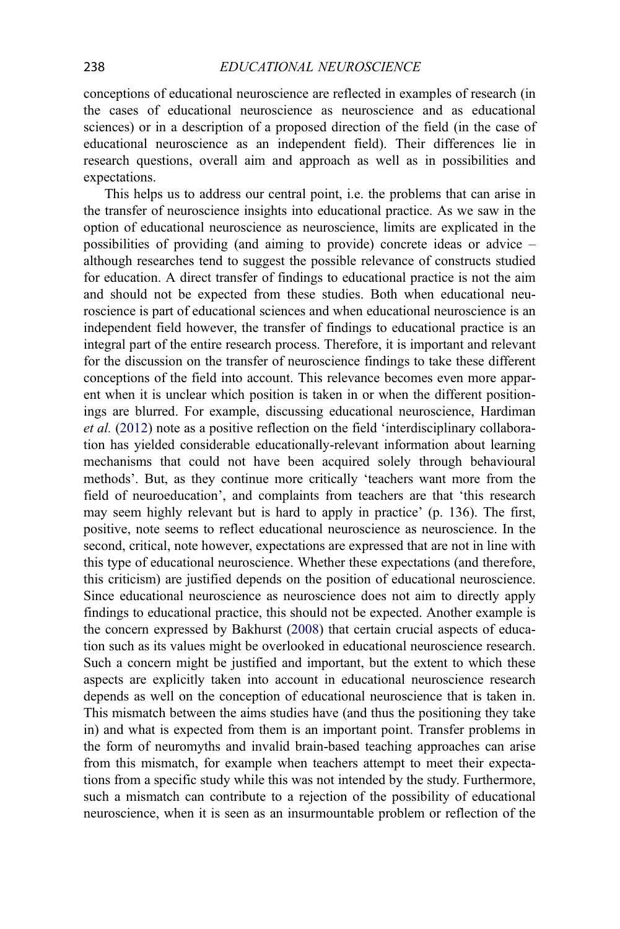conceptions of educational neuroscience are reflected in examples of research (in the cases of educational neuroscience as neuroscience and as educational sciences) or in a description of a proposed direction of the field (in the case of educational neuroscience as an independent field). Their differences lie in research questions, overall aim and approach as well as in possibilities and expectations.

This helps us to address our central point, i.e. the problems that can arise in the transfer of neuroscience insights into educational practice. As we saw in the option of educational neuroscience as neuroscience, limits are explicated in the possibilities of providing (and aiming to provide) concrete ideas or advice – although researches tend to suggest the possible relevance of constructs studied for education. A direct transfer of findings to educational practice is not the aim and should not be expected from these studies. Both when educational neuroscience is part of educational sciences and when educational neuroscience is an independent field however, the transfer of findings to educational practice is an integral part of the entire research process. Therefore, it is important and relevant for the discussion on the transfer of neuroscience findings to take these different conceptions of the field into account. This relevance becomes even more apparent when it is unclear which position is taken in or when the different positionings are blurred. For example, discussing educational neuroscience, Hardiman et al. ([2012\)](#page-14-0) note as a positive reflection on the field 'interdisciplinary collaboration has yielded considerable educationally-relevant information about learning mechanisms that could not have been acquired solely through behavioural methods'. But, as they continue more critically 'teachers want more from the field of neuroeducation', and complaints from teachers are that 'this research may seem highly relevant but is hard to apply in practice' (p. 136). The first, positive, note seems to reflect educational neuroscience as neuroscience. In the second, critical, note however, expectations are expressed that are not in line with this type of educational neuroscience. Whether these expectations (and therefore, this criticism) are justified depends on the position of educational neuroscience. Since educational neuroscience as neuroscience does not aim to directly apply findings to educational practice, this should not be expected. Another example is the concern expressed by Bakhurst ([2008\)](#page-13-0) that certain crucial aspects of education such as its values might be overlooked in educational neuroscience research. Such a concern might be justified and important, but the extent to which these aspects are explicitly taken into account in educational neuroscience research depends as well on the conception of educational neuroscience that is taken in. This mismatch between the aims studies have (and thus the positioning they take in) and what is expected from them is an important point. Transfer problems in the form of neuromyths and invalid brain-based teaching approaches can arise from this mismatch, for example when teachers attempt to meet their expectations from a specific study while this was not intended by the study. Furthermore, such a mismatch can contribute to a rejection of the possibility of educational neuroscience, when it is seen as an insurmountable problem or reflection of the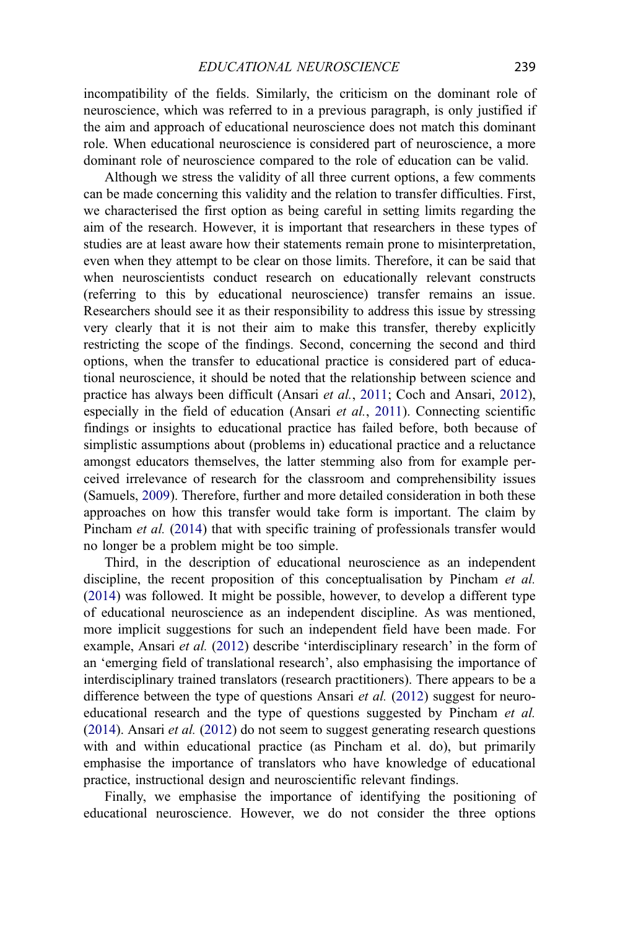incompatibility of the fields. Similarly, the criticism on the dominant role of neuroscience, which was referred to in a previous paragraph, is only justified if the aim and approach of educational neuroscience does not match this dominant role. When educational neuroscience is considered part of neuroscience, a more dominant role of neuroscience compared to the role of education can be valid.

Although we stress the validity of all three current options, a few comments can be made concerning this validity and the relation to transfer difficulties. First, we characterised the first option as being careful in setting limits regarding the aim of the research. However, it is important that researchers in these types of studies are at least aware how their statements remain prone to misinterpretation, even when they attempt to be clear on those limits. Therefore, it can be said that when neuroscientists conduct research on educationally relevant constructs (referring to this by educational neuroscience) transfer remains an issue. Researchers should see it as their responsibility to address this issue by stressing very clearly that it is not their aim to make this transfer, thereby explicitly restricting the scope of the findings. Second, concerning the second and third options, when the transfer to educational practice is considered part of educational neuroscience, it should be noted that the relationship between science and practice has always been difficult (Ansari et al., [2011;](#page-13-0) Coch and Ansari, [2012\)](#page-14-0), especially in the field of education (Ansari et al., [2011](#page-13-0)). Connecting scientific findings or insights to educational practice has failed before, both because of simplistic assumptions about (problems in) educational practice and a reluctance amongst educators themselves, the latter stemming also from for example perceived irrelevance of research for the classroom and comprehensibility issues (Samuels, [2009](#page-14-0)). Therefore, further and more detailed consideration in both these approaches on how this transfer would take form is important. The claim by Pincham *et al.* ([2014\)](#page-14-0) that with specific training of professionals transfer would no longer be a problem might be too simple.

Third, in the description of educational neuroscience as an independent discipline, the recent proposition of this conceptualisation by Pincham et al. ([2014\)](#page-14-0) was followed. It might be possible, however, to develop a different type of educational neuroscience as an independent discipline. As was mentioned, more implicit suggestions for such an independent field have been made. For example, Ansari et al. [\(2012](#page-13-0)) describe 'interdisciplinary research' in the form of an 'emerging field of translational research', also emphasising the importance of interdisciplinary trained translators (research practitioners). There appears to be a difference between the type of questions Ansari et al. ([2012\)](#page-13-0) suggest for neuroeducational research and the type of questions suggested by Pincham et al. ([2014\)](#page-14-0). Ansari *et al.* ([2012\)](#page-13-0) do not seem to suggest generating research questions with and within educational practice (as Pincham et al. do), but primarily emphasise the importance of translators who have knowledge of educational practice, instructional design and neuroscientific relevant findings.

Finally, we emphasise the importance of identifying the positioning of educational neuroscience. However, we do not consider the three options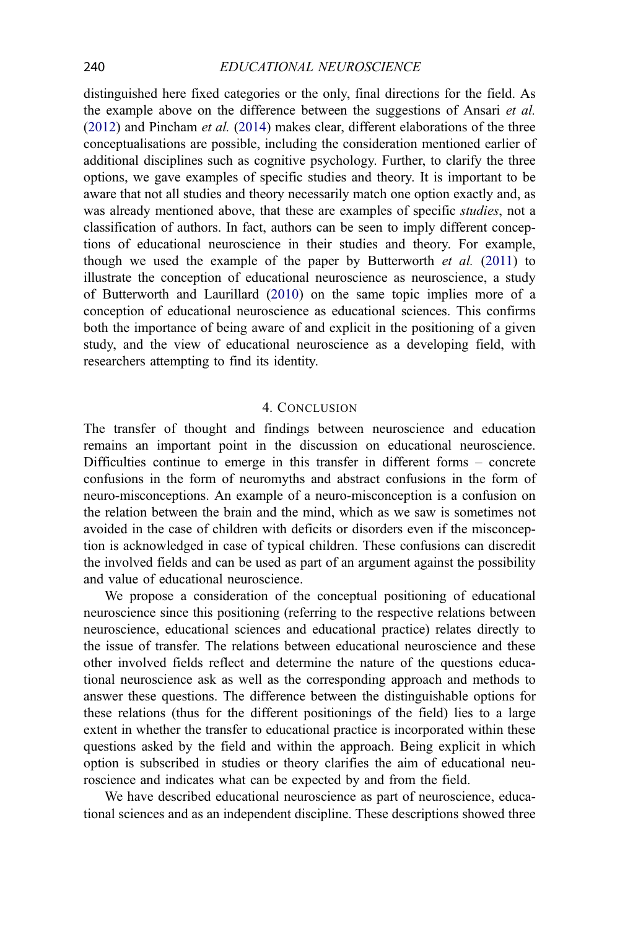#### 240 EDUCATIONAL NEUROSCIENCE

distinguished here fixed categories or the only, final directions for the field. As the example above on the difference between the suggestions of Ansari et al.  $(2012)$  $(2012)$  and Pincham et al.  $(2014)$  $(2014)$  makes clear, different elaborations of the three conceptualisations are possible, including the consideration mentioned earlier of additional disciplines such as cognitive psychology. Further, to clarify the three options, we gave examples of specific studies and theory. It is important to be aware that not all studies and theory necessarily match one option exactly and, as was already mentioned above, that these are examples of specific studies, not a classification of authors. In fact, authors can be seen to imply different conceptions of educational neuroscience in their studies and theory. For example, though we used the example of the paper by Butterworth  $et$   $al$ . ([2011](#page-13-0)) to illustrate the conception of educational neuroscience as neuroscience, a study of Butterworth and Laurillard [\(2010](#page-13-0)) on the same topic implies more of a conception of educational neuroscience as educational sciences. This confirms both the importance of being aware of and explicit in the positioning of a given study, and the view of educational neuroscience as a developing field, with researchers attempting to find its identity.

## 4. CONCLUSION

The transfer of thought and findings between neuroscience and education remains an important point in the discussion on educational neuroscience. Difficulties continue to emerge in this transfer in different forms – concrete confusions in the form of neuromyths and abstract confusions in the form of neuro-misconceptions. An example of a neuro-misconception is a confusion on the relation between the brain and the mind, which as we saw is sometimes not avoided in the case of children with deficits or disorders even if the misconception is acknowledged in case of typical children. These confusions can discredit the involved fields and can be used as part of an argument against the possibility and value of educational neuroscience.

We propose a consideration of the conceptual positioning of educational neuroscience since this positioning (referring to the respective relations between neuroscience, educational sciences and educational practice) relates directly to the issue of transfer. The relations between educational neuroscience and these other involved fields reflect and determine the nature of the questions educational neuroscience ask as well as the corresponding approach and methods to answer these questions. The difference between the distinguishable options for these relations (thus for the different positionings of the field) lies to a large extent in whether the transfer to educational practice is incorporated within these questions asked by the field and within the approach. Being explicit in which option is subscribed in studies or theory clarifies the aim of educational neuroscience and indicates what can be expected by and from the field.

We have described educational neuroscience as part of neuroscience, educational sciences and as an independent discipline. These descriptions showed three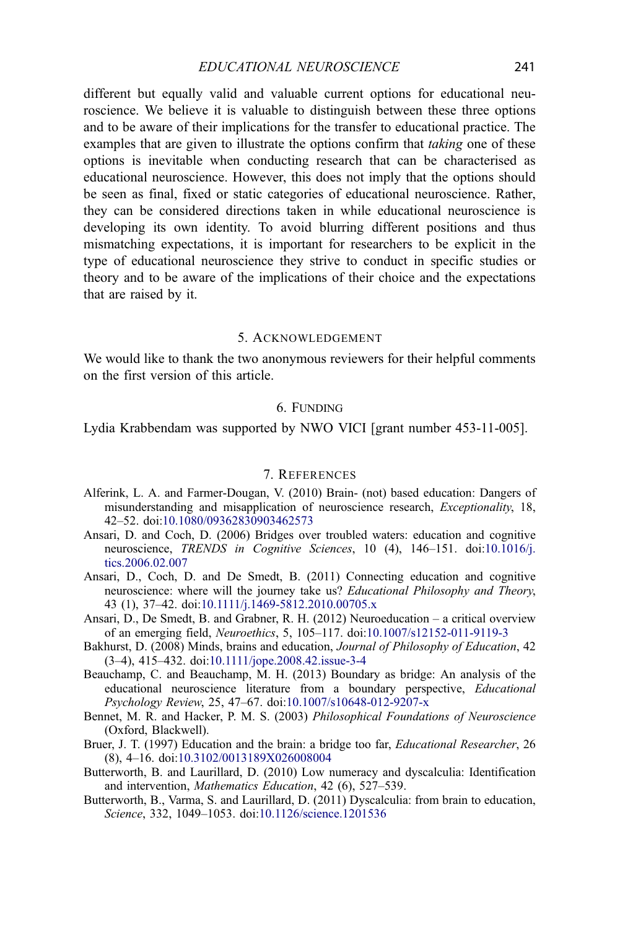<span id="page-13-0"></span>different but equally valid and valuable current options for educational neuroscience. We believe it is valuable to distinguish between these three options and to be aware of their implications for the transfer to educational practice. The examples that are given to illustrate the options confirm that *taking* one of these options is inevitable when conducting research that can be characterised as educational neuroscience. However, this does not imply that the options should be seen as final, fixed or static categories of educational neuroscience. Rather, they can be considered directions taken in while educational neuroscience is developing its own identity. To avoid blurring different positions and thus mismatching expectations, it is important for researchers to be explicit in the type of educational neuroscience they strive to conduct in specific studies or theory and to be aware of the implications of their choice and the expectations that are raised by it.

#### 5. ACKNOWLEDGEMENT

We would like to thank the two anonymous reviewers for their helpful comments on the first version of this article.

### 6. FUNDING

Lydia Krabbendam was supported by NWO VICI [grant number 453-11-005].

#### 7. REFERENCES

- Alferink, L. A. and Farmer-Dougan, V. (2010) Brain- (not) based education: Dangers of misunderstanding and misapplication of neuroscience research, Exceptionality, 18, 42–52. doi:[10.1080/09362830903462573](http://dx.doi.org/10.1080/09362830903462573)
- Ansari, D. and Coch, D. (2006) Bridges over troubled waters: education and cognitive neuroscience, TRENDS in Cognitive Sciences, 10 (4), 146-151. doi:[10.1016/j.](http://dx.doi.org/10.1016/j.tics.2006.02.007) [tics.2006.02.007](http://dx.doi.org/10.1016/j.tics.2006.02.007)
- Ansari, D., Coch, D. and De Smedt, B. (2011) Connecting education and cognitive neuroscience: where will the journey take us? Educational Philosophy and Theory, 43 (1), 37–42. doi:[10.1111/j.1469-5812.2010.00705.x](http://dx.doi.org/10.1111/j.1469-5812.2010.00705.x)
- Ansari, D., De Smedt, B. and Grabner, R. H. (2012) Neuroeducation a critical overview of an emerging field, Neuroethics, 5, 105–117. doi:[10.1007/s12152-011-9119-3](http://dx.doi.org/10.1007/s12152-011-9119-3)
- Bakhurst, D. (2008) Minds, brains and education, Journal of Philosophy of Education, 42 (3–4), 415–432. doi:[10.1111/jope.2008.42.issue-3-4](http://dx.doi.org/10.1111/jope.2008.42.issue-3-4)
- Beauchamp, C. and Beauchamp, M. H. (2013) Boundary as bridge: An analysis of the educational neuroscience literature from a boundary perspective, Educational Psychology Review, 25, 47–67. doi:[10.1007/s10648-012-9207-x](http://dx.doi.org/10.1007/s10648-012-9207-x)
- Bennet, M. R. and Hacker, P. M. S. (2003) Philosophical Foundations of Neuroscience (Oxford, Blackwell).
- Bruer, J. T. (1997) Education and the brain: a bridge too far, Educational Researcher, 26 (8), 4–16. doi:[10.3102/0013189X026008004](http://dx.doi.org/10.3102/0013189X026008004)
- Butterworth, B. and Laurillard, D. (2010) Low numeracy and dyscalculia: Identification and intervention, Mathematics Education, 42 (6), 527–539.
- Butterworth, B., Varma, S. and Laurillard, D. (2011) Dyscalculia: from brain to education, Science, 332, 1049–1053. doi:[10.1126/science.1201536](http://dx.doi.org/10.1126/science.1201536)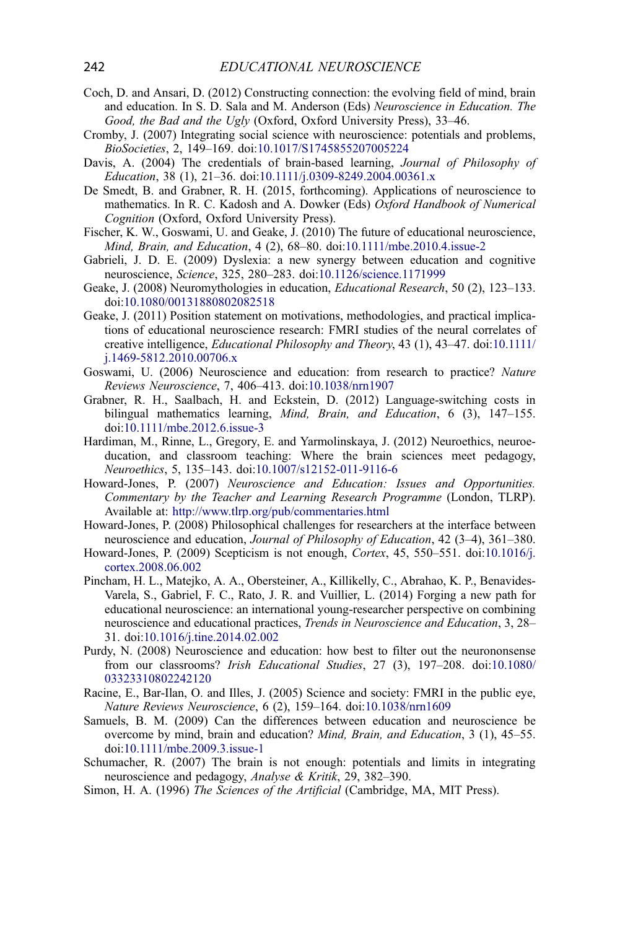- <span id="page-14-0"></span>Coch, D. and Ansari, D. (2012) Constructing connection: the evolving field of mind, brain and education. In S. D. Sala and M. Anderson (Eds) Neuroscience in Education. The Good, the Bad and the Ugly (Oxford, Oxford University Press), 33–46.
- Cromby, J. (2007) Integrating social science with neuroscience: potentials and problems, BioSocieties, 2, 149–169. doi:[10.1017/S1745855207005224](http://dx.doi.org/10.1017/S1745855207005224)
- Davis, A. (2004) The credentials of brain-based learning, Journal of Philosophy of Education, 38 (1), 21–36. doi:[10.1111/j.0309-8249.2004.00361.x](http://dx.doi.org/10.1111/j.0309-8249.2004.00361.x)
- De Smedt, B. and Grabner, R. H. (2015, forthcoming). Applications of neuroscience to mathematics. In R. C. Kadosh and A. Dowker (Eds) Oxford Handbook of Numerical Cognition (Oxford, Oxford University Press).
- Fischer, K. W., Goswami, U. and Geake, J. (2010) The future of educational neuroscience, Mind, Brain, and Education, 4 (2), 68–80. doi:[10.1111/mbe.2010.4.issue-2](http://dx.doi.org/10.1111/mbe.2010.4.issue-2)
- Gabrieli, J. D. E. (2009) Dyslexia: a new synergy between education and cognitive neuroscience, Science, 325, 280–283. doi:[10.1126/science.1171999](http://dx.doi.org/10.1126/science.1171999)
- Geake, J. (2008) Neuromythologies in education, Educational Research, 50 (2), 123–133. doi:[10.1080/00131880802082518](http://dx.doi.org/10.1080/00131880802082518)
- Geake, J. (2011) Position statement on motivations, methodologies, and practical implications of educational neuroscience research: FMRI studies of the neural correlates of creative intelligence, Educational Philosophy and Theory, 43 (1), 43–47. doi:[10.1111/](http://dx.doi.org/10.1111/j.1469-5812.2010.00706.x) [j.1469-5812.2010.00706.x](http://dx.doi.org/10.1111/j.1469-5812.2010.00706.x)
- Goswami, U. (2006) Neuroscience and education: from research to practice? Nature Reviews Neuroscience, 7, 406–413. doi:[10.1038/nrn1907](http://dx.doi.org/10.1038/nrn1907)
- Grabner, R. H., Saalbach, H. and Eckstein, D. (2012) Language-switching costs in bilingual mathematics learning, Mind, Brain, and Education, 6 (3), 147-155. doi:[10.1111/mbe.2012.6.issue-3](http://dx.doi.org/10.1111/mbe.2012.6.issue-3)
- Hardiman, M., Rinne, L., Gregory, E. and Yarmolinskaya, J. (2012) Neuroethics, neuroeducation, and classroom teaching: Where the brain sciences meet pedagogy, Neuroethics, 5, 135–143. doi:[10.1007/s12152-011-9116-6](http://dx.doi.org/10.1007/s12152-011-9116-6)
- Howard-Jones, P. (2007) Neuroscience and Education: Issues and Opportunities. Commentary by the Teacher and Learning Research Programme (London, TLRP). Available at: <http://www.tlrp.org/pub/commentaries.html>
- Howard-Jones, P. (2008) Philosophical challenges for researchers at the interface between neuroscience and education, Journal of Philosophy of Education, 42 (3–4), 361–380.
- Howard-Jones, P. (2009) Scepticism is not enough, Cortex, 45, 550–551. doi:[10.1016/j.](http://dx.doi.org/10.1016/j.cortex.2008.06.002) [cortex.2008.06.002](http://dx.doi.org/10.1016/j.cortex.2008.06.002)
- Pincham, H. L., Matejko, A. A., Obersteiner, A., Killikelly, C., Abrahao, K. P., Benavides-Varela, S., Gabriel, F. C., Rato, J. R. and Vuillier, L. (2014) Forging a new path for educational neuroscience: an international young-researcher perspective on combining neuroscience and educational practices, Trends in Neuroscience and Education, 3, 28– 31. doi:[10.1016/j.tine.2014.02.002](http://dx.doi.org/10.1016/j.tine.2014.02.002)
- Purdy, N. (2008) Neuroscience and education: how best to filter out the neurononsense from our classrooms? Irish Educational Studies, 27 (3), 197–208. doi:[10.1080/](http://dx.doi.org/10.1080/03323310802242120) [03323310802242120](http://dx.doi.org/10.1080/03323310802242120)
- Racine, E., Bar-Ilan, O. and Illes, J. (2005) Science and society: FMRI in the public eye, Nature Reviews Neuroscience, 6 (2), 159–164. doi:[10.1038/nrn1609](http://dx.doi.org/10.1038/nrn1609)
- Samuels, B. M. (2009) Can the differences between education and neuroscience be overcome by mind, brain and education? Mind, Brain, and Education, 3 (1), 45–55. doi:[10.1111/mbe.2009.3.issue-1](http://dx.doi.org/10.1111/mbe.2009.3.issue-1)
- Schumacher, R. (2007) The brain is not enough: potentials and limits in integrating neuroscience and pedagogy, Analyse & Kritik, 29, 382–390.
- Simon, H. A. (1996) The Sciences of the Artificial (Cambridge, MA, MIT Press).